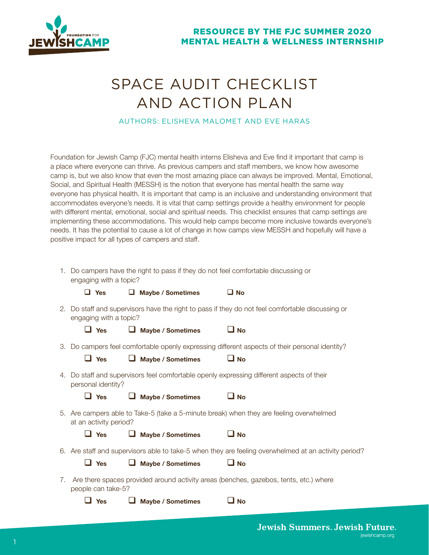

# SPACE AUDIT CHECKLIST AND ACTION PLAN

# AUTHORS: ELISHEVA MALOMET AND EVE HARAS

Foundation for Jewish Camp (FJC) mental health interns Elisheva and Eve find it important that camp is a place where everyone can thrive. As previous campers and staff members, we know how awesome camp is, but we also know that even the most amazing place can always be improved. Mental, Emotional, Social, and Spiritual Health (MESSH) is the notion that everyone has mental health the same way everyone has physical health. It is important that camp is an inclusive and understanding environment that accommodates everyone's needs. It is vital that camp settings provide a healthy environment for people with different mental, emotional, social and spiritual needs. This checklist ensures that camp settings are implementing these accommodations. This would help camps become more inclusive towards everyone's needs. It has the potential to cause a lot of change in how camps view MESSH and hopefully will have a positive impact for all types of campers and staff.

1. Do campers have the right to pass if they do not feel comfortable discussing or engaging with a topic?

| $\Box$ Yes | Maybe / Sometimes | $\square$ No |
|------------|-------------------|--------------|
|            |                   |              |

2. Do staff and supervisors have the right to pass if they do not feel comfortable discussing or engaging with a topic?

| $\Box$ Yes | $\Box$ Maybe / Sometimes | $\Box$ No |
|------------|--------------------------|-----------|
|------------|--------------------------|-----------|

 $\Box$  Yes  $\Box$  Maybe / Sometimes  $\Box$  No

**a** Yes **a Maybe / Sometimes a No** 

**a** Yes **a Maybe** / Sometimes **a No** 

3. Do campers feel comfortable openly expressing different aspects of their personal identity?

| .                                                                                                               |
|-----------------------------------------------------------------------------------------------------------------|
| 4. Do staff and supervisors feel comfortable openly expressing different aspects of their<br>personal identity? |

| 5. Are campers able to Take-5 (take a 5-minute break) when they are feeling overwhelmed |
|-----------------------------------------------------------------------------------------|
| at an activity period?                                                                  |

| 6. Are staff and supervisors able to take-5 when they are feeling overwhelmed at an activity period? |  |  |  |  |
|------------------------------------------------------------------------------------------------------|--|--|--|--|

| $\Box$ Yes | $\Box$ Maybe / Sometimes | $\Box$ No |
|------------|--------------------------|-----------|
|            |                          |           |

| 7. Are there spaces provided around activity areas (benches, gazebos, tents, etc.) where |
|------------------------------------------------------------------------------------------|
| people can take-5?                                                                       |

| $\Box$ Yes | $\Box$ Maybe / Sometimes | $\Box$ No |
|------------|--------------------------|-----------|
|------------|--------------------------|-----------|

**Jewish Summers. Jewish Future.** jewishcamp.org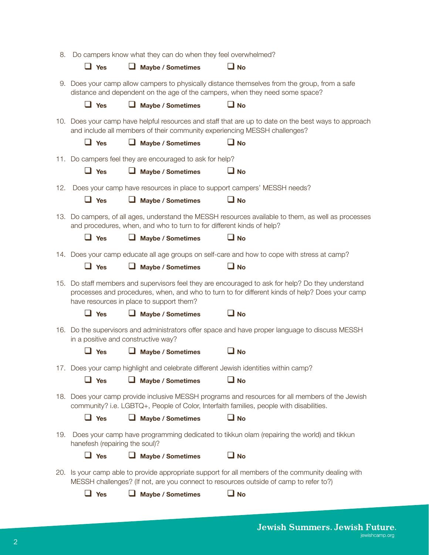| 8.  | Do campers know what they can do when they feel overwhelmed? |                                                          |                                                                                     |                                                                                                                                                                                                     |  |
|-----|--------------------------------------------------------------|----------------------------------------------------------|-------------------------------------------------------------------------------------|-----------------------------------------------------------------------------------------------------------------------------------------------------------------------------------------------------|--|
|     | $\Box$ Yes                                                   | $\Box$ Maybe / Sometimes                                 | ∐ No                                                                                |                                                                                                                                                                                                     |  |
|     |                                                              |                                                          |                                                                                     | 9. Does your camp allow campers to physically distance themselves from the group, from a safe<br>distance and dependent on the age of the campers, when they need some space?                       |  |
|     | $\Box$ Yes                                                   | Maybe / Sometimes                                        | $\square$ No                                                                        |                                                                                                                                                                                                     |  |
|     |                                                              |                                                          | and include all members of their community experiencing MESSH challenges?           | 10. Does your camp have helpful resources and staff that are up to date on the best ways to approach                                                                                                |  |
|     | $\Box$ Yes                                                   | <b>Maybe / Sometimes</b><br>u                            | – No                                                                                |                                                                                                                                                                                                     |  |
|     |                                                              | 11. Do campers feel they are encouraged to ask for help? |                                                                                     |                                                                                                                                                                                                     |  |
|     | $\Box$ Yes                                                   | Maybe / Sometimes                                        | ⊔ No                                                                                |                                                                                                                                                                                                     |  |
| 12. |                                                              |                                                          | Does your camp have resources in place to support campers' MESSH needs?             |                                                                                                                                                                                                     |  |
|     | $\Box$ Yes                                                   | Maybe / Sometimes                                        | $\square$ No                                                                        |                                                                                                                                                                                                     |  |
|     |                                                              |                                                          | and procedures, when, and who to turn to for different kinds of help?               | 13. Do campers, of all ages, understand the MESSH resources available to them, as well as processes                                                                                                 |  |
|     | $\Box$ Yes                                                   | $\Box$ Maybe / Sometimes                                 | $\square$ No                                                                        |                                                                                                                                                                                                     |  |
|     |                                                              |                                                          |                                                                                     | 14. Does your camp educate all age groups on self-care and how to cope with stress at camp?                                                                                                         |  |
|     | $\Box$ Yes                                                   | Maybe / Sometimes                                        | ∐ No                                                                                |                                                                                                                                                                                                     |  |
|     |                                                              | have resources in place to support them?                 |                                                                                     | 15. Do staff members and supervisors feel they are encouraged to ask for help? Do they understand<br>processes and procedures, when, and who to turn to for different kinds of help? Does your camp |  |
|     | $\Box$ Yes                                                   | Maybe / Sometimes                                        | ⊔ No                                                                                |                                                                                                                                                                                                     |  |
|     |                                                              | in a positive and constructive way?                      |                                                                                     | 16. Do the supervisors and administrators offer space and have proper language to discuss MESSH                                                                                                     |  |
|     | <b>Yes</b>                                                   | <b>Maybe / Sometimes</b>                                 | <b>No</b>                                                                           |                                                                                                                                                                                                     |  |
|     |                                                              |                                                          | 17. Does your camp highlight and celebrate different Jewish identities within camp? |                                                                                                                                                                                                     |  |
|     | $\Box$ Yes                                                   | $\Box$ Maybe / Sometimes                                 | $\square$ No                                                                        |                                                                                                                                                                                                     |  |
|     |                                                              |                                                          |                                                                                     | 18. Does your camp provide inclusive MESSH programs and resources for all members of the Jewish<br>community? i.e. LGBTQ+, People of Color, Interfaith families, people with disabilities.          |  |
|     | $\Box$ Yes                                                   | <b>Maybe / Sometimes</b>                                 | $\square$ No                                                                        |                                                                                                                                                                                                     |  |
| 19. | hanefesh (repairing the soul)?                               |                                                          |                                                                                     | Does your camp have programming dedicated to tikkun olam (repairing the world) and tikkun                                                                                                           |  |
|     | $\Box$ Yes                                                   | <b>Maybe / Sometimes</b><br>ப                            | ∐ No                                                                                |                                                                                                                                                                                                     |  |
|     |                                                              |                                                          |                                                                                     | 20. Is your camp able to provide appropriate support for all members of the community dealing with<br>MESSH challenges? (If not, are you connect to resources outside of camp to refer to?)         |  |
|     | $\Box$ Yes                                                   | <b>Maybe / Sometimes</b>                                 | $\square$ No                                                                        |                                                                                                                                                                                                     |  |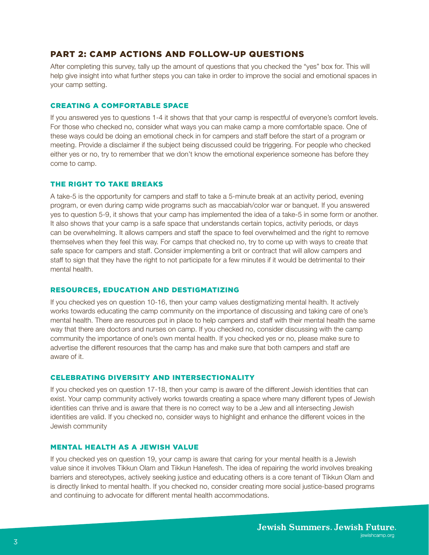# PART 2: CAMP ACTIONS AND FOLLOW-UP QUESTIONS

After completing this survey, tally up the amount of questions that you checked the "yes" box for. This will help give insight into what further steps you can take in order to improve the social and emotional spaces in your camp setting.

### CREATING A COMFORTABLE SPACE

If you answered yes to questions 1-4 it shows that that your camp is respectful of everyone's comfort levels. For those who checked no, consider what ways you can make camp a more comfortable space. One of these ways could be doing an emotional check in for campers and staff before the start of a program or meeting. Provide a disclaimer if the subject being discussed could be triggering. For people who checked either yes or no, try to remember that we don't know the emotional experience someone has before they come to camp.

#### THE RIGHT TO TAKE BREAKS

A take-5 is the opportunity for campers and staff to take a 5-minute break at an activity period, evening program, or even during camp wide programs such as maccabiah/color war or banquet. If you answered yes to question 5-9, it shows that your camp has implemented the idea of a take-5 in some form or another. It also shows that your camp is a safe space that understands certain topics, activity periods, or days can be overwhelming. It allows campers and staff the space to feel overwhelmed and the right to remove themselves when they feel this way. For camps that checked no, try to come up with ways to create that safe space for campers and staff. Consider implementing a brit or contract that will allow campers and staff to sign that they have the right to not participate for a few minutes if it would be detrimental to their mental health.

#### RESOURCES, EDUCATION AND DESTIGMATIZING

If you checked yes on question 10-16, then your camp values destigmatizing mental health. It actively works towards educating the camp community on the importance of discussing and taking care of one's mental health. There are resources put in place to help campers and staff with their mental health the same way that there are doctors and nurses on camp. If you checked no, consider discussing with the camp community the importance of one's own mental health. If you checked yes or no, please make sure to advertise the different resources that the camp has and make sure that both campers and staff are aware of it.

## CELEBRATING DIVERSITY AND INTERSECTIONALITY

If you checked yes on question 17-18, then your camp is aware of the different Jewish identities that can exist. Your camp community actively works towards creating a space where many different types of Jewish identities can thrive and is aware that there is no correct way to be a Jew and all intersecting Jewish identities are valid. If you checked no, consider ways to highlight and enhance the different voices in the Jewish community

## MENTAL HEALTH AS A JEWISH VALUE

If you checked yes on question 19, your camp is aware that caring for your mental health is a Jewish value since it involves Tikkun Olam and Tikkun Hanefesh. The idea of repairing the world involves breaking barriers and stereotypes, actively seeking justice and educating others is a core tenant of Tikkun Olam and is directly linked to mental health. If you checked no, consider creating more social justice-based programs and continuing to advocate for different mental health accommodations.